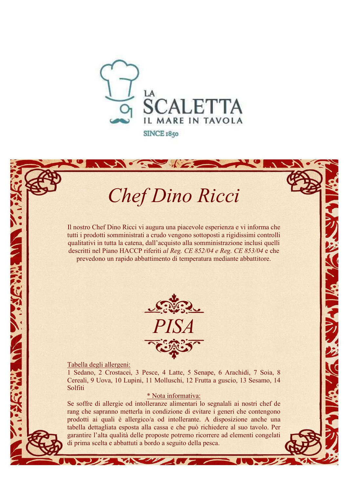

# Chef Dino Ricci

Il nostro Chef Dino Ricci vi augura una piacevole esperienza e vi informa che tutti i prodotti somministrati a crudo vengono sottoposti a rigidissimi controlli qualitativi in tutta la catena, dall'acquisto alla somministrazione inclusi quelli descritti nel Piano HACCP riferiti al Reg. CE 852/04 e Reg. CE 853/04 e che prevedono un rapido abbattimento di temperatura mediante abbattitore.



**READY AND MARINE** 

Tabella degli allergeni:

The State of Contract of

1 Sedano, 2 Crostacei, 3 Pesce, 4 Latte, 5 Senape, 6 Arachidi, 7 Soia, 8 Cereali, 9 Uova, 10 Lupini, 11 Molluschi, 12 Frutta a guscio, 13 Sesamo, 14 Solfiti

#### \* Nota informativa:

Se soffre di allergie od intolleranze alimentari lo segnalali ai nostri chef de rang che sapranno metterla in condizione di evitare i generi che contengono prodotti ai quali è allergico/a od intollerante. A disposizione anche una tabella dettagliata esposta alla cassa e che può richiedere al suo tavolo. Per garantire l'alta qualità delle proposte potremo ricorrere ad elementi congelati di prima scelta e abbattuti a bordo a seguito della pesca.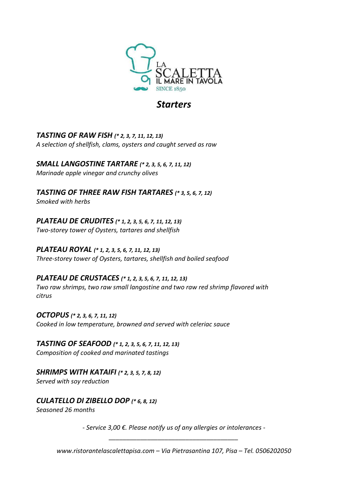

## **Starters**

TASTING OF RAW FISH (\* 2, 3, 7, 11, 12, 13) A selection of shellfish, clams, oysters and caught served as raw

SMALL LANGOSTINE TARTARE (\* 2, 3, 5, 6, 7, 11, 12) Marinade apple vinegar and crunchy olives

TASTING OF THREE RAW FISH TARTARES (\* 3, 5, 6, 7, 12) Smoked with herbs

PLATEAU DE CRUDITES (\* 1, 2, 3, 5, 6, 7, 11, 12, 13) Two-storey tower of Oysters, tartares and shellfish

PLATEAU ROYAL (\* 1, 2, 3, 5, 6, 7, 11, 12, 13) Three-storey tower of Oysters, tartares, shellfish and boiled seafood

PLATEAU DE CRUSTACES (\* 1, 2, 3, 5, 6, 7, 11, 12, 13) Two raw shrimps, two raw small langostine and two raw red shrimp flavored with citrus

OCTOPUS (\* 2, 3, 6, 7, 11, 12) Cooked in low temperature, browned and served with celeriac sauce

TASTING OF SEAFOOD (\* 1, 2, 3, 5, 6, 7, 11, 12, 13) Composition of cooked and marinated tastings

SHRIMPS WITH KATAIFI (\* 2, 3, 5, 7, 8, 12) Served with soy reduction

CULATELLO DI ZIBELLO DOP (\* 6, 8, 12)

Seasoned 26 months

- Service 3,00 €. Please notify us of any allergies or intolerances - \_\_\_\_\_\_\_\_\_\_\_\_\_\_\_\_\_\_\_\_\_\_\_\_\_\_\_\_\_\_\_\_\_\_\_\_\_

www.ristorantelascalettapisa.com – Via Pietrasantina 107, Pisa – Tel. 0506202050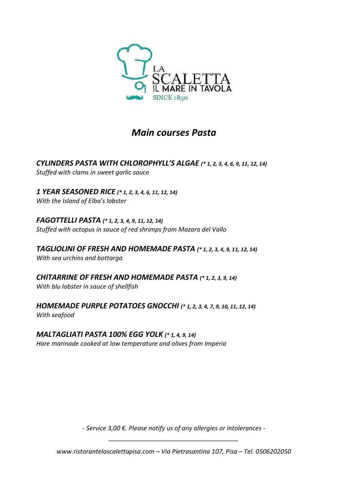

## Main courses Pasta

CYLINDERS PASTA WITH CHLOROPHYLL'S ALGAE (\* 1, 2, 3, 4, 6, 9, 11, 12, 14) Stuffed with clams in sweet garlic sauce

1 YEAR SEASONED RICE (\* 1, 2, 3, 4, 6, 11, 12, 14) With the Island of Elba's lobster

FAGOTTELLI PASTA (\* 1, 2, 3, 4, 9, 11, 12, 14) Stuffed with octopus in sauce of red shrimps from Mazara del Vallo

TAGLIOLINI OF FRESH AND HOMEMADE PASTA (\* 1, 2, 3, 4, 9, 11, 12, 14) With sea urchins and bottarga

CHITARRINE OF FRESH AND HOMEMADE PASTA (\* 1, 2, 3, 9, 14) With blu lobster in sauce of shellfish

HOMEMADE PURPLE POTATOES GNOCCHI (\* 1, 2, 3, 4, 7, 9, 10, 11, 12, 14) With seafood

### MALTAGLIATI PASTA 100% EGG YOLK (\* 1, 4, 9, 14)

Hare marinade cooked at low temperature and olives from Imperia

- Service 3,00 €. Please notify us of any allergies or intolerances - \_\_\_\_\_\_\_\_\_\_\_\_\_\_\_\_\_\_\_\_\_\_\_\_\_\_\_\_\_\_\_\_\_\_\_\_\_

www.ristorantelascalettapisa.com – Via Pietrasantina 107, Pisa – Tel. 0506202050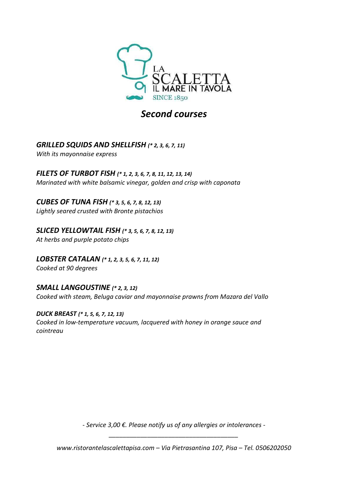

## Second courses

## GRILLED SQUIDS AND SHELLFISH (\* 2, 3, 6, 7, 11)

With its mayonnaise express

FILETS OF TURBOT FISH (\* 1, 2, 3, 6, 7, 8, 11, 12, 13, 14) Marinated with white balsamic vinegar, golden and crisp with caponata

CUBES OF TUNA FISH (\* 3, 5, 6, 7, 8, 12, 13) Lightly seared crusted with Bronte pistachios

SLICED YELLOWTAIL FISH (\* 3, 5, 6, 7, 8, 12, 13) At herbs and purple potato chips

LOBSTER CATALAN (\* 1, 2, 3, 5, 6, 7, 11, 12) Cooked at 90 degrees

SMALL LANGOUSTINE (\* 2, 3, 12) Cooked with steam, Beluga caviar and mayonnaise prawns from Mazara del Vallo

DUCK BREAST (\* 1, 5, 6, 7, 12, 13) Cooked in low-temperature vacuum, lacquered with honey in orange sauce and cointreau

> - Service 3,00 €. Please notify us of any allergies or intolerances - \_\_\_\_\_\_\_\_\_\_\_\_\_\_\_\_\_\_\_\_\_\_\_\_\_\_\_\_\_\_\_\_\_\_\_\_\_

www.ristorantelascalettapisa.com – Via Pietrasantina 107, Pisa – Tel. 0506202050